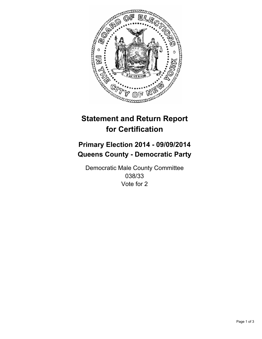

## **Statement and Return Report for Certification**

## **Primary Election 2014 - 09/09/2014 Queens County - Democratic Party**

Democratic Male County Committee 038/33 Vote for 2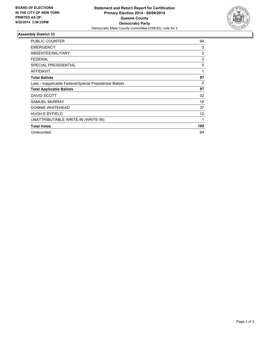

## **Assembly District 33**

| <b>PUBLIC COUNTER</b>                                    | 94             |
|----------------------------------------------------------|----------------|
| <b>EMERGENCY</b>                                         | 0              |
| ABSENTEE/MILITARY                                        | $\overline{2}$ |
| <b>FEDERAL</b>                                           | 0              |
| <b>SPECIAL PRESIDENTIAL</b>                              | 0              |
| <b>AFFIDAVIT</b>                                         | 1              |
| <b>Total Ballots</b>                                     | 97             |
| Less - Inapplicable Federal/Special Presidential Ballots | 0              |
| <b>Total Applicable Ballots</b>                          | 97             |
| DAVID SCOTT                                              | 32             |
| <b>SAMUEL MURRAY</b>                                     | 18             |
| DONNIE WHITEHEAD                                         | 37             |
| <b>HUGH E BYFIELD</b>                                    | 12             |
| UNATTRIBUTABLE WRITE-IN (WRITE-IN)                       | 1              |
| <b>Total Votes</b>                                       | 100            |
| Unrecorded                                               | 94             |